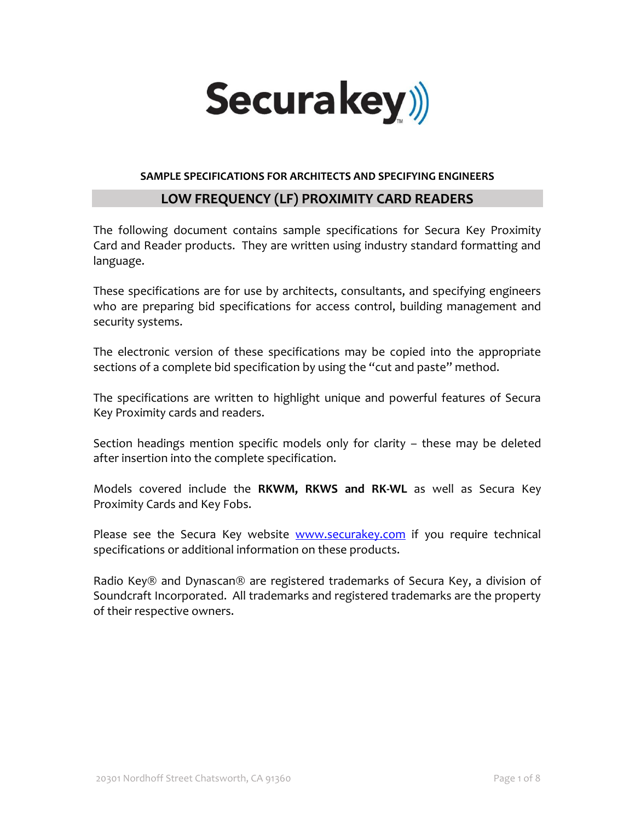

### **SAMPLE SPECIFICATIONS FOR ARCHITECTS AND SPECIFYING ENGINEERS**

## **LOW FREQUENCY (LF) PROXIMITY CARD READERS**

The following document contains sample specifications for Secura Key Proximity Card and Reader products. They are written using industry standard formatting and language.

These specifications are for use by architects, consultants, and specifying engineers who are preparing bid specifications for access control, building management and security systems.

The electronic version of these specifications may be copied into the appropriate sections of a complete bid specification by using the "cut and paste" method.

The specifications are written to highlight unique and powerful features of Secura Key Proximity cards and readers.

Section headings mention specific models only for clarity – these may be deleted after insertion into the complete specification.

Models covered include the **RKWM, RKWS and RK-WL** as well as Secura Key Proximity Cards and Key Fobs.

Please see the Secura Key website [www.securakey.com](http://www.securakey.com/) if you require technical specifications or additional information on these products.

Radio Key® and Dynascan® are registered trademarks of Secura Key, a division of Soundcraft Incorporated. All trademarks and registered trademarks are the property of their respective owners.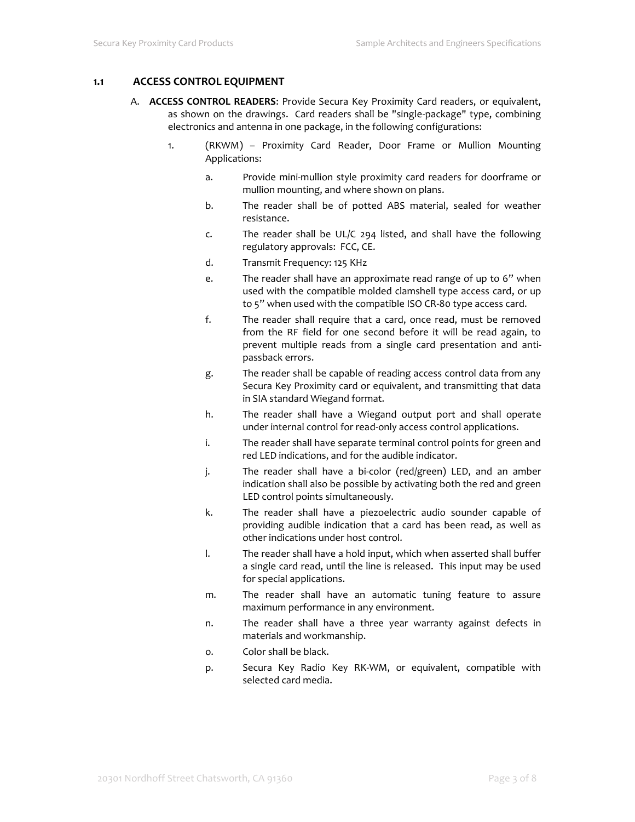### **1.1 ACCESS CONTROL EQUIPMENT**

- A. **ACCESS CONTROL READERS**: Provide Secura Key Proximity Card readers, or equivalent, as shown on the drawings. Card readers shall be "single-package" type, combining electronics and antenna in one package, in the following configurations:
	- 1. (RKWM) Proximity Card Reader, Door Frame or Mullion Mounting Applications:
		- a. Provide mini-mullion style proximity card readers for doorframe or mullion mounting, and where shown on plans.
		- b. The reader shall be of potted ABS material, sealed for weather resistance.
		- c. The reader shall be UL/C 294 listed, and shall have the following regulatory approvals: FCC, CE.
		- d. Transmit Frequency: 125 KHz
		- e. The reader shall have an approximate read range of up to 6" when used with the compatible molded clamshell type access card, or up to 5" when used with the compatible ISO CR-80 type access card.
		- f. The reader shall require that a card, once read, must be removed from the RF field for one second before it will be read again, to prevent multiple reads from a single card presentation and antipassback errors.
		- g. The reader shall be capable of reading access control data from any Secura Key Proximity card or equivalent, and transmitting that data in SIA standard Wiegand format.
		- h. The reader shall have a Wiegand output port and shall operate under internal control for read-only access control applications.
		- i. The reader shall have separate terminal control points for green and red LED indications, and for the audible indicator.
		- j. The reader shall have a bi-color (red/green) LED, and an amber indication shall also be possible by activating both the red and green LED control points simultaneously.
		- k. The reader shall have a piezoelectric audio sounder capable of providing audible indication that a card has been read, as well as other indications under host control.
		- l. The reader shall have a hold input, which when asserted shall buffer a single card read, until the line is released. This input may be used for special applications.
		- m. The reader shall have an automatic tuning feature to assure maximum performance in any environment.
		- n. The reader shall have a three year warranty against defects in materials and workmanship.
		- o. Color shall be black.
		- p. Secura Key Radio Key RK-WM, or equivalent, compatible with selected card media.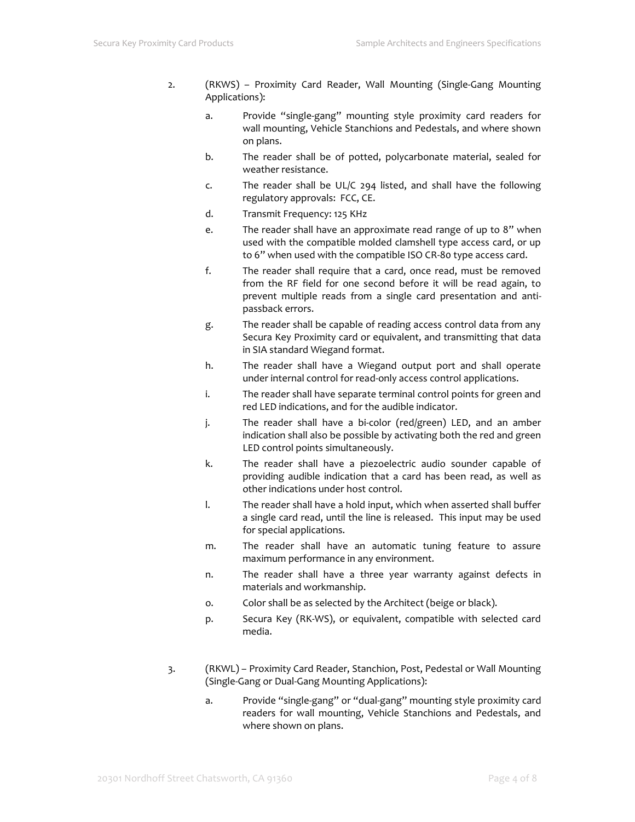- 2. (RKWS) Proximity Card Reader, Wall Mounting (Single-Gang Mounting Applications):
	- a. Provide "single-gang" mounting style proximity card readers for wall mounting, Vehicle Stanchions and Pedestals, and where shown on plans.
	- b. The reader shall be of potted, polycarbonate material, sealed for weather resistance.
	- c. The reader shall be UL/C 294 listed, and shall have the following regulatory approvals: FCC, CE.
	- d. Transmit Frequency: 125 KHz
	- e. The reader shall have an approximate read range of up to 8" when used with the compatible molded clamshell type access card, or up to 6" when used with the compatible ISO CR-80 type access card.
	- f. The reader shall require that a card, once read, must be removed from the RF field for one second before it will be read again, to prevent multiple reads from a single card presentation and antipassback errors.
	- g. The reader shall be capable of reading access control data from any Secura Key Proximity card or equivalent, and transmitting that data in SIA standard Wiegand format.
	- h. The reader shall have a Wiegand output port and shall operate under internal control for read-only access control applications.
	- i. The reader shall have separate terminal control points for green and red LED indications, and for the audible indicator.
	- j. The reader shall have a bi-color (red/green) LED, and an amber indication shall also be possible by activating both the red and green LED control points simultaneously.
	- k. The reader shall have a piezoelectric audio sounder capable of providing audible indication that a card has been read, as well as other indications under host control.
	- l. The reader shall have a hold input, which when asserted shall buffer a single card read, until the line is released. This input may be used for special applications.
	- m. The reader shall have an automatic tuning feature to assure maximum performance in any environment.
	- n. The reader shall have a three year warranty against defects in materials and workmanship.
	- o. Color shall be as selected by the Architect (beige or black).
	- p. Secura Key (RK-WS), or equivalent, compatible with selected card media.
- 3. (RKWL) Proximity Card Reader, Stanchion, Post, Pedestal or Wall Mounting (Single-Gang or Dual-Gang Mounting Applications):
	- a. Provide "single-gang" or "dual-gang" mounting style proximity card readers for wall mounting, Vehicle Stanchions and Pedestals, and where shown on plans.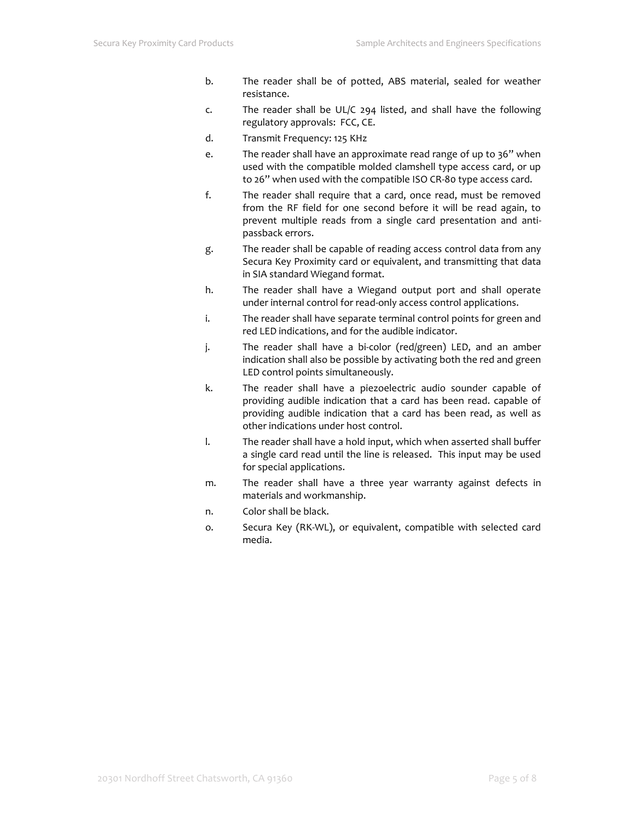- b. The reader shall be of potted, ABS material, sealed for weather resistance.
- c. The reader shall be UL/C 294 listed, and shall have the following regulatory approvals: FCC, CE.
- d. Transmit Frequency: 125 KHz
- e. The reader shall have an approximate read range of up to 36" when used with the compatible molded clamshell type access card, or up to 26" when used with the compatible ISO CR-80 type access card.
- f. The reader shall require that a card, once read, must be removed from the RF field for one second before it will be read again, to prevent multiple reads from a single card presentation and antipassback errors.
- g. The reader shall be capable of reading access control data from any Secura Key Proximity card or equivalent, and transmitting that data in SIA standard Wiegand format.
- h. The reader shall have a Wiegand output port and shall operate under internal control for read-only access control applications.
- i. The reader shall have separate terminal control points for green and red LED indications, and for the audible indicator.
- j. The reader shall have a bi-color (red/green) LED, and an amber indication shall also be possible by activating both the red and green LED control points simultaneously.
- k. The reader shall have a piezoelectric audio sounder capable of providing audible indication that a card has been read. capable of providing audible indication that a card has been read, as well as other indications under host control.
- l. The reader shall have a hold input, which when asserted shall buffer a single card read until the line is released. This input may be used for special applications.
- m. The reader shall have a three year warranty against defects in materials and workmanship.
- n. Color shall be black.
- o. Secura Key (RK-WL), or equivalent, compatible with selected card media.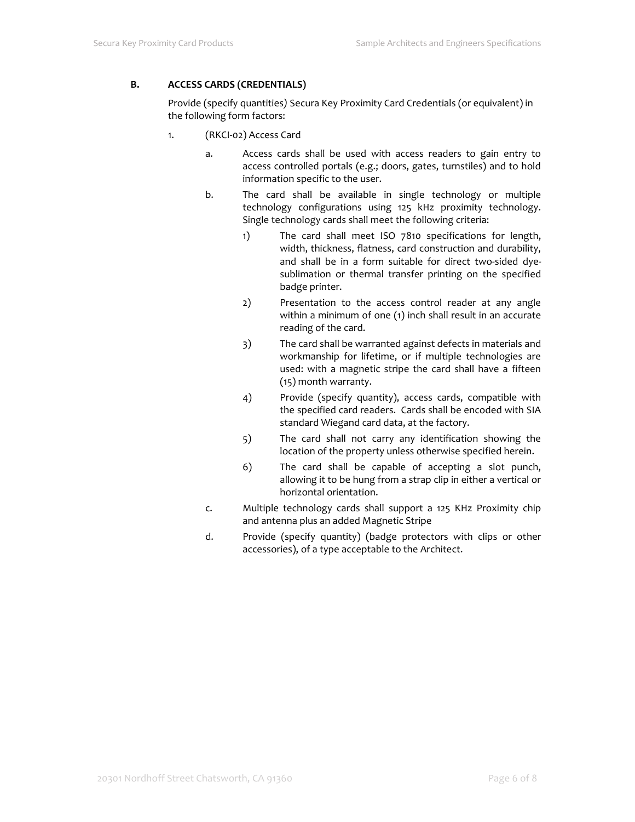### **B. ACCESS CARDS (CREDENTIALS)**

Provide (specify quantities*)* Secura Key Proximity Card Credentials (or equivalent) in the following form factors:

- 1. (RKCI-02) Access Card
	- a. Access cards shall be used with access readers to gain entry to access controlled portals (e.g.; doors, gates, turnstiles) and to hold information specific to the user.
	- b. The card shall be available in single technology or multiple technology configurations using 125 kHz proximity technology. Single technology cards shall meet the following criteria:
		- 1) The card shall meet ISO 7810 specifications for length, width, thickness, flatness, card construction and durability, and shall be in a form suitable for direct two-sided dyesublimation or thermal transfer printing on the specified badge printer.
		- 2) Presentation to the access control reader at any angle within a minimum of one (1) inch shall result in an accurate reading of the card.
		- 3) The card shall be warranted against defects in materials and workmanship for lifetime, or if multiple technologies are used: with a magnetic stripe the card shall have a fifteen (15) month warranty.
		- 4) Provide (specify quantity), access cards, compatible with the specified card readers. Cards shall be encoded with SIA standard Wiegand card data, at the factory.
		- 5) The card shall not carry any identification showing the location of the property unless otherwise specified herein.
		- 6) The card shall be capable of accepting a slot punch, allowing it to be hung from a strap clip in either a vertical or horizontal orientation.
	- c. Multiple technology cards shall support a 125 KHz Proximity chip and antenna plus an added Magnetic Stripe
	- d. Provide (specify quantity) (badge protectors with clips or other accessories), of a type acceptable to the Architect.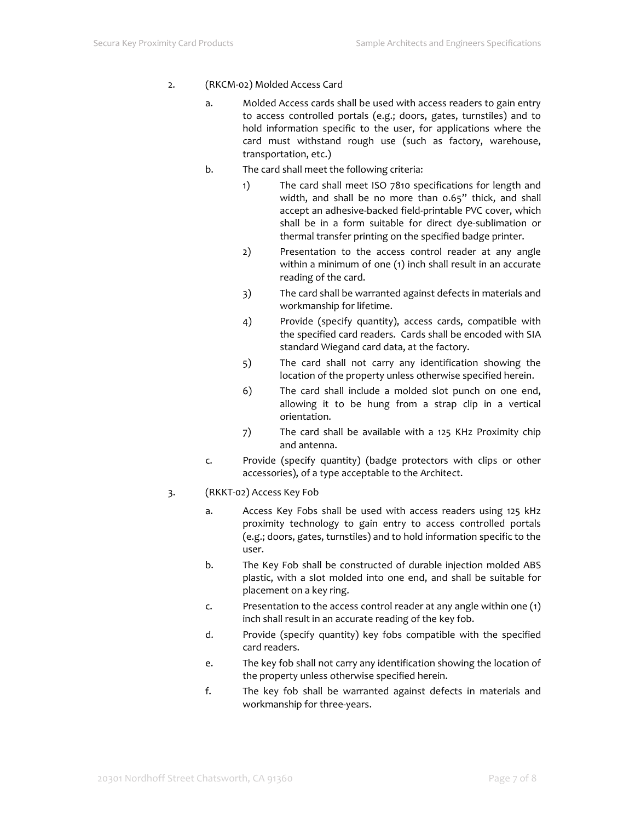- 2. (RKCM-02) Molded Access Card
	- a. Molded Access cards shall be used with access readers to gain entry to access controlled portals (e.g.; doors, gates, turnstiles) and to hold information specific to the user, for applications where the card must withstand rough use (such as factory, warehouse, transportation, etc.)
	- b. The card shall meet the following criteria:
		- 1) The card shall meet ISO 7810 specifications for length and width, and shall be no more than 0.65" thick, and shall accept an adhesive-backed field-printable PVC cover, which shall be in a form suitable for direct dye-sublimation or thermal transfer printing on the specified badge printer.
		- 2) Presentation to the access control reader at any angle within a minimum of one (1) inch shall result in an accurate reading of the card.
		- 3) The card shall be warranted against defects in materials and workmanship for lifetime.
		- 4) Provide (specify quantity), access cards, compatible with the specified card readers. Cards shall be encoded with SIA standard Wiegand card data, at the factory.
		- 5) The card shall not carry any identification showing the location of the property unless otherwise specified herein.
		- 6) The card shall include a molded slot punch on one end, allowing it to be hung from a strap clip in a vertical orientation.
		- 7) The card shall be available with a 125 KHz Proximity chip and antenna.
	- c. Provide (specify quantity) (badge protectors with clips or other accessories), of a type acceptable to the Architect.
- 3. (RKKT-02) Access Key Fob
	- a. Access Key Fobs shall be used with access readers using 125 kHz proximity technology to gain entry to access controlled portals (e.g.; doors, gates, turnstiles) and to hold information specific to the user.
	- b. The Key Fob shall be constructed of durable injection molded ABS plastic, with a slot molded into one end, and shall be suitable for placement on a key ring.
	- c. Presentation to the access control reader at any angle within one (1) inch shall result in an accurate reading of the key fob.
	- d. Provide (specify quantity) key fobs compatible with the specified card readers.
	- e. The key fob shall not carry any identification showing the location of the property unless otherwise specified herein.
	- f. The key fob shall be warranted against defects in materials and workmanship for three-years.